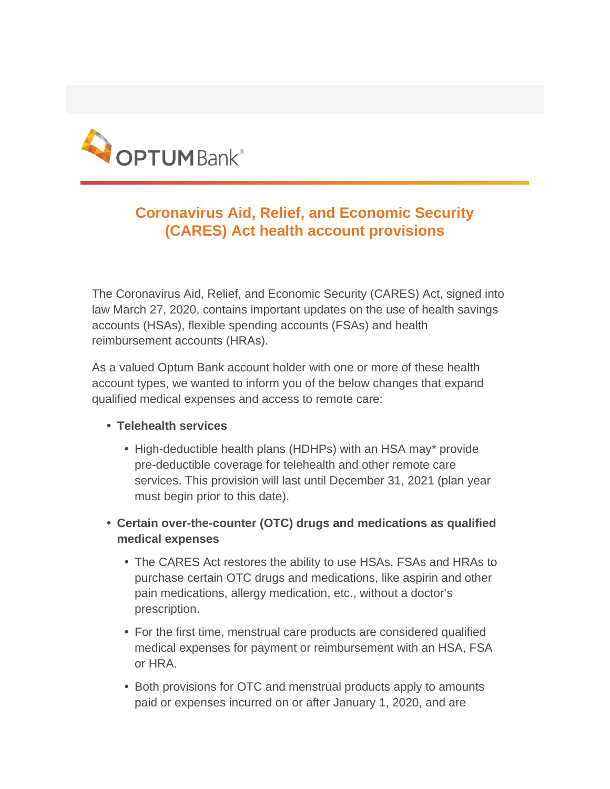

## **Coronavirus Aid, Relief, and Economic Security (CARES) Act health account provisions**

The Coronavirus Aid, Relief, and Economic Security (CARES) Act, signed into law March 27, 2020, contains important updates on the use of health savings accounts (HSAs), flexible spending accounts (FSAs) and health reimbursement accounts (HRAs).

As a valued Optum Bank account holder with one or more of these health account types, we wanted to inform you of the below changes that expand qualified medical expenses and access to remote care:

- **• Telehealth services**
	- **•** High-deductible health plans (HDHPs) with an HSA may\* provide pre-deductible coverage for telehealth and other remote care services. This provision will last until December 31, 2021 (plan year must begin prior to this date).
- **• Certain over-the-counter (OTC) drugs and medications as qualified medical expenses**
	- **•** The CARES Act restores the ability to use HSAs, FSAs and HRAs to purchase certain OTC drugs and medications, like aspirin and other pain medications, allergy medication, etc., without a doctor's prescription.
	- **•** For the first time, menstrual care products are considered qualified medical expenses for payment or reimbursement with an HSA, FSA or HRA.
	- **•** Both provisions for OTC and menstrual products apply to amounts paid or expenses incurred on or after January 1, 2020, and are